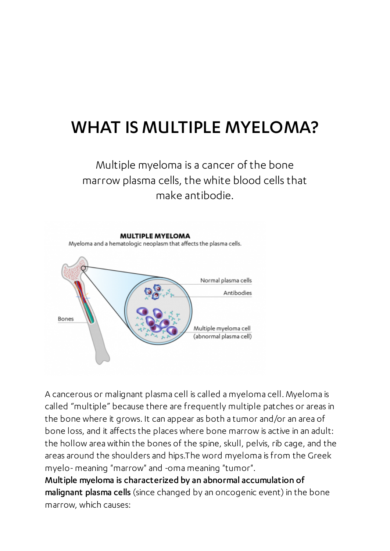## WHAT IS MULTIPLE MYELOMA?

#### Multiple myeloma is a cancer of the bone marrow plasma cells, the white blood cells that make antibodie.



A cancerous or malignant plasma cell is called a myeloma cell. Myeloma is called "multiple" because there are frequently multiple patches or areas in the bone where it grows. It can appear as both a tumor and/or an area of bone loss, and it affects the places where bone marrow is active in an adult: the hollow area within the bones of the spine, skull, pelvis, rib cage, and the areas around the shoulders and hips.The word myeloma is from the Greek myelo-meaning "marrow" and -oma meaning "tumor".

Multiple myeloma is characterized by an abnormal accumulation of malignant plasma cells (since changed by an oncogenic event) in the bone marrow, which causes: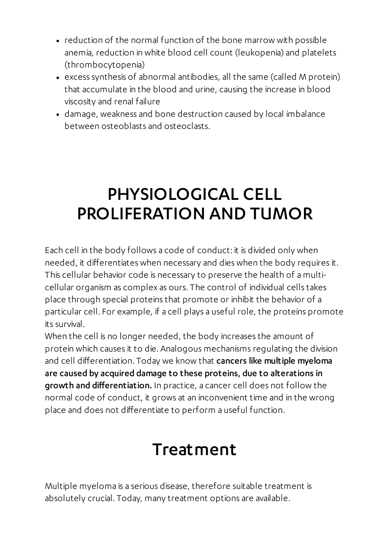- reduction of the normal function of the bone marrow with possible anemia, reduction in white blood cell count (leukopenia) and platelets (thrombocytopenia)
- excess synthesis of abnormal antibodies, all the same (called M protein) that accumulate in the blood and urine, causing the increase in blood viscosity and renal failure
- damage, weakness and bone destruction caused by local imbalance between osteoblasts and osteoclasts.

# PHYSIOLOGICAL CELL PROLIFERATION AND TUMOR

Each cell in the body follows a code of conduct: it is divided only when needed, it differentiates when necessary and dies when the body requires it. This cellular behavior code is necessary to preserve the health of a multicellular organism as complex as ours. The control of individual cells takes place through special proteins that promote or inhibit the behavior of a particular cell. For example, if a cell plays a useful role, the proteins promote its survival.

When the cell is no longer needed, the body increases the amount of protein which causes it to die. Analogous mechanisms regulating the division and cell differentiation. Today we know that cancers like multiple myeloma are caused by acquired damage to these proteins, due to alterations in growth and differentiation. In practice, a cancer cell does not follow the normal code of conduct, it grows at an inconvenient time and in the wrong place and does not differentiate to perform a useful function.

## Treatment

Multiple myeloma is a serious disease, therefore suitable treatment is absolutely crucial. Today, many treatment options are available.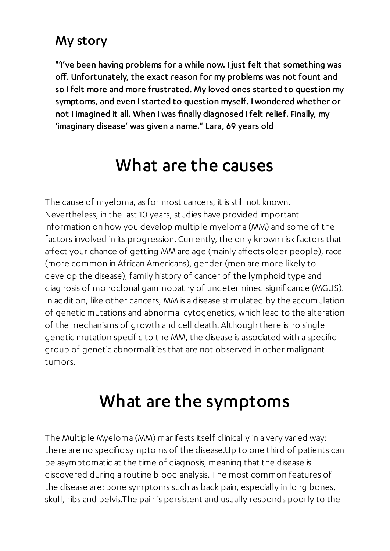#### My story

"'I've been having problems for a while now. I just felt that something was off. Unfortunately, the exact reason for my problems was not fount and so I felt more and more frustrated. My loved ones started to question my symptoms, and even Istarted to question myself. Iwondered whether or not I imagined it all. When Iwas finally diagnosed I felt relief. Finally, my 'imaginary disease' was given a name." Lara, 69 years old

#### What are the causes

The cause of myeloma, as for most cancers, it is still not known. Nevertheless, in the last 10 years, studies have provided important information on how you develop multiple myeloma (MM) and some of the factors involved in its progression. Currently, the only known risk factors that affect your chance of getting MM are age (mainly affects older people), race (more common in African Americans), gender (men are more likely to develop the disease), family history of cancer of the lymphoid type and diagnosis of monoclonal gammopathy of undetermined significance (MGUS). In addition, like other cancers, MM is a disease stimulated by the accumulation of genetic mutations and abnormal cytogenetics, which lead to the alteration of the mechanisms of growth and cell death. Although there is no single genetic mutation specific to the MM, the disease is associated with a specific group of genetic abnormalities that are not observed in other malignant tumors.

# What are the symptoms

The Multiple Myeloma (MM) manifests itself clinically in a very varied way: there are no specific symptoms of the disease.Up to one third of patients can be asymptomatic at the time of diagnosis, meaning that the disease is discovered during a routine blood analysis. The most common features of the disease are: bone symptoms such as back pain, especially in long bones, skull, ribs and pelvis.The pain is persistent and usually responds poorly to the